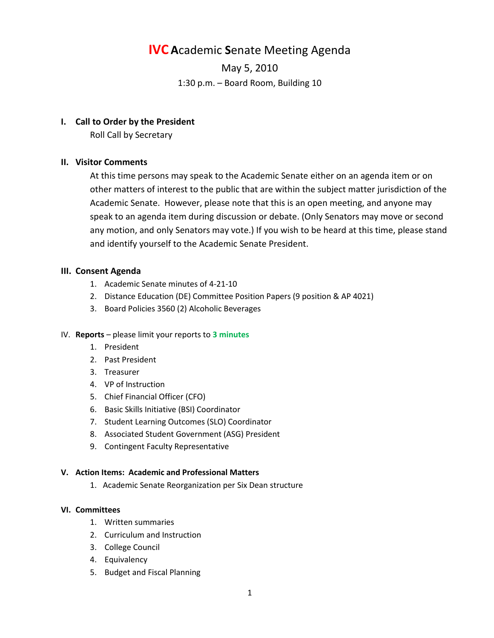# **IVC A**cademic **S**enate Meeting Agenda

May 5, 2010 1:30 p.m. – Board Room, Building 10

## **I. Call to Order by the President**

Roll Call by Secretary

# **II. Visitor Comments**

At this time persons may speak to the Academic Senate either on an agenda item or on other matters of interest to the public that are within the subject matter jurisdiction of the Academic Senate. However, please note that this is an open meeting, and anyone may speak to an agenda item during discussion or debate. (Only Senators may move or second any motion, and only Senators may vote.) If you wish to be heard at this time, please stand and identify yourself to the Academic Senate President.

## **III. Consent Agenda**

- 1. Academic Senate minutes of 4-21-10
- 2. Distance Education (DE) Committee Position Papers (9 position & AP 4021)
- 3. Board Policies 3560 (2) Alcoholic Beverages

## IV. **Reports** – please limit your reports to **3 minutes**

- 1. President
- 2. Past President
- 3. Treasurer
- 4. VP of Instruction
- 5. Chief Financial Officer (CFO)
- 6. Basic Skills Initiative (BSI) Coordinator
- 7. Student Learning Outcomes (SLO) Coordinator
- 8. Associated Student Government (ASG) President
- 9. Contingent Faculty Representative

## **V. Action Items: Academic and Professional Matters**

1. Academic Senate Reorganization per Six Dean structure

#### **VI. Committees**

- 1. Written summaries
- 2. Curriculum and Instruction
- 3. College Council
- 4. Equivalency
- 5. Budget and Fiscal Planning